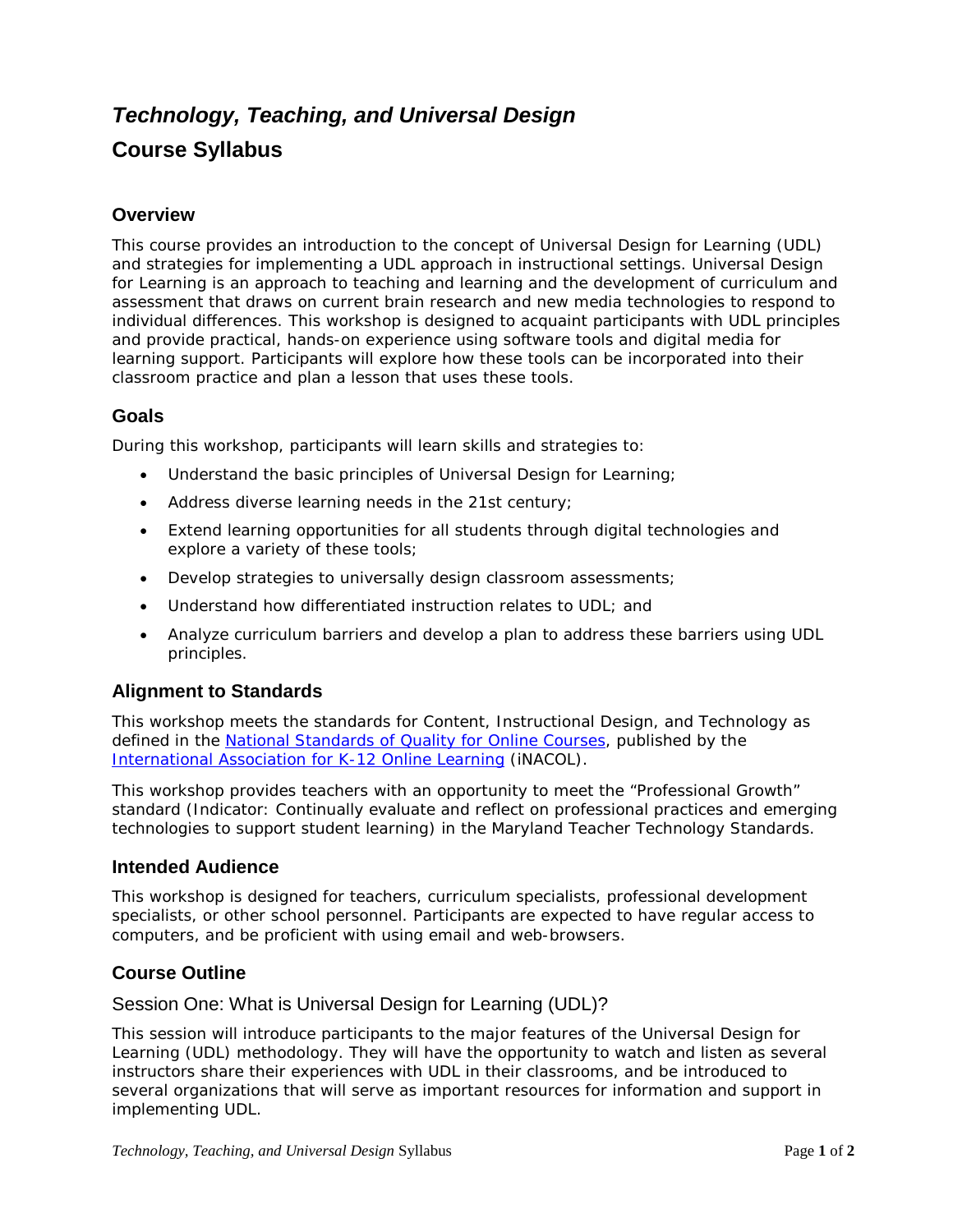# *Technology, Teaching, and Universal Design* **Course Syllabus**

# **Overview**

This course provides an introduction to the concept of Universal Design for Learning (UDL) and strategies for implementing a UDL approach in instructional settings. Universal Design for Learning is an approach to teaching and learning and the development of curriculum and assessment that draws on current brain research and new media technologies to respond to individual differences. This workshop is designed to acquaint participants with UDL principles and provide practical, hands-on experience using software tools and digital media for learning support. Participants will explore how these tools can be incorporated into their classroom practice and plan a lesson that uses these tools.

## **Goals**

During this workshop, participants will learn skills and strategies to:

- Understand the basic principles of Universal Design for Learning;
- Address diverse learning needs in the 21st century;
- Extend learning opportunities for all students through digital technologies and explore a variety of these tools;
- Develop strategies to universally design classroom assessments;
- Understand how differentiated instruction relates to UDL; and
- Analyze curriculum barriers and develop a plan to address these barriers using UDL principles.

## **Alignment to Standards**

This workshop meets the standards for Content, Instructional Design, and Technology as defined in the [National Standards of Quality for Online](http://www.inacol.org/resources/nationalstandards/index.php) Courses, published by the [International Association for K-12 Online Learning](http://www.inacol.org/) (iNACOL).

This workshop provides teachers with an opportunity to meet the "Professional Growth" standard (Indicator: *Continually evaluate and reflect on professional practices and emerging technologies to support student learning*) in the Maryland Teacher Technology Standards.

## **Intended Audience**

This workshop is designed for teachers, curriculum specialists, professional development specialists, or other school personnel. Participants are expected to have regular access to computers, and be proficient with using email and web-browsers.

## **Course Outline**

#### Session One: What is Universal Design for Learning (UDL)?

This session will introduce participants to the major features of the Universal Design for Learning (UDL) methodology. They will have the opportunity to watch and listen as several instructors share their experiences with UDL in their classrooms, and be introduced to several organizations that will serve as important resources for information and support in implementing UDL.